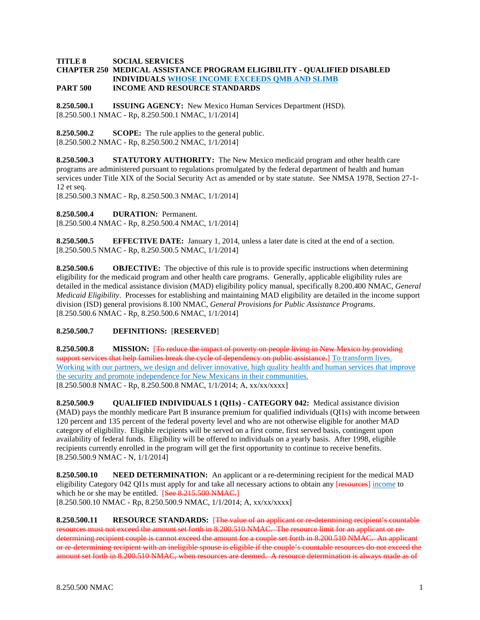### **TITLE 8 SOCIAL SERVICES**

#### **CHAPTER 250 MEDICAL ASSISTANCE PROGRAM ELIGIBILITY - QUALIFIED DISABLED INDIVIDUALS WHOSE INCOME EXCEEDS QMB AND SLIMB PART 500 INCOME AND RESOURCE STANDARDS**

**8.250.500.1 ISSUING AGENCY:** New Mexico Human Services Department (HSD). [8.250.500.1 NMAC - Rp, 8.250.500.1 NMAC, 1/1/2014]

**8.250.500.2 SCOPE:** The rule applies to the general public. [8.250.500.2 NMAC - Rp, 8.250.500.2 NMAC, 1/1/2014]

**8.250.500.3 STATUTORY AUTHORITY:** The New Mexico medicaid program and other health care programs are administered pursuant to regulations promulgated by the federal department of health and human services under Title XIX of the Social Security Act as amended or by state statute. See NMSA 1978, Section 27-1- 12 et seq.

[8.250.500.3 NMAC - Rp, 8.250.500.3 NMAC, 1/1/2014]

**8.250.500.4 DURATION:** Permanent.

[8.250.500.4 NMAC - Rp, 8.250.500.4 NMAC, 1/1/2014]

**8.250.500.5 EFFECTIVE DATE:** January 1, 2014, unless a later date is cited at the end of a section. [8.250.500.5 NMAC - Rp, 8.250.500.5 NMAC, 1/1/2014]

**8.250.500.6 OBJECTIVE:** The objective of this rule is to provide specific instructions when determining eligibility for the medicaid program and other health care programs. Generally, applicable eligibility rules are detailed in the medical assistance division (MAD) eligibility policy manual, specifically 8.200.400 NMAC, *General Medicaid Eligibility*. Processes for establishing and maintaining MAD eligibility are detailed in the income support division (ISD) general provisions 8.100 NMAC, *General Provisions for Public Assistance Programs*. [8.250.500.6 NMAC - Rp, 8.250.500.6 NMAC, 1/1/2014]

# **8.250.500.7 DEFINITIONS:** [**RESERVED**]

**8.250.500.8 MISSION:** [To reduce the impact of poverty on people living in New Mexico by providing support services that help families break the cycle of dependency on public assistance.] To transform lives. Working with our partners, we design and deliver innovative, high quality health and human services that improve the security and promote independence for New Mexicans in their communities. [8.250.500.8 NMAC - Rp, 8.250.500.8 NMAC, 1/1/2014; A, xx/xx/xxxx]

**8.250.500.9 QUALIFIED INDIVIDUALS 1 (QI1s) - CATEGORY 042:** Medical assistance division (MAD) pays the monthly medicare Part B insurance premium for qualified individuals (QI1s) with income between 120 percent and 135 percent of the federal poverty level and who are not otherwise eligible for another MAD category of eligibility. Eligible recipients will be served on a first come, first served basis, contingent upon availability of federal funds. Eligibility will be offered to individuals on a yearly basis. After 1998, eligible recipients currently enrolled in the program will get the first opportunity to continue to receive benefits. [8.250.500.9 NMAC - N, 1/1/2014]

**8.250.500.10 NEED DETERMINATION:** An applicant or a re-determining recipient for the medical MAD eligibility Category 042 QI1s must apply for and take all necessary actions to obtain any [resources] income to which he or she may be entitled. [See 8.215.500 NMAC.] [8.250.500.10 NMAC - Rp, 8.250.500.9 NMAC, 1/1/2014; A, xx/xx/xxxx]

**8.250.500.11 RESOURCE STANDARDS:** [The value of an applicant or re-determining recipient's countable resources must not exceed the amount set forth in 8.200.510 NMAC. The resource limit for an applicant or redetermining recipient couple is cannot exceed the amount for a couple set forth in 8.200.510 NMAC. An applicant or re-determining recipient with an ineligible spouse is eligible if the couple's countable resources do not exceed the amount set forth in 8.200.510 NMAC, when resources are deemed. A resource determination is always made as of